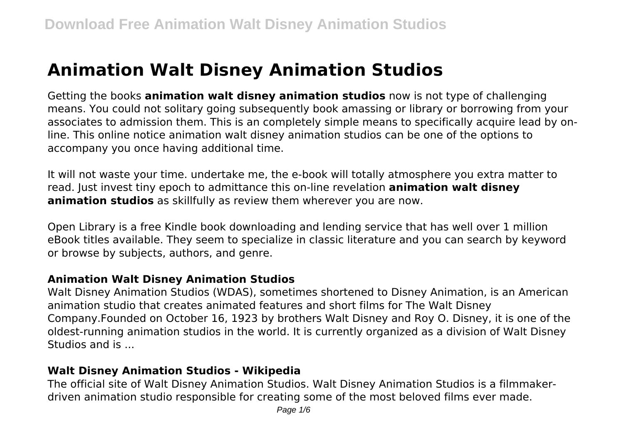# **Animation Walt Disney Animation Studios**

Getting the books **animation walt disney animation studios** now is not type of challenging means. You could not solitary going subsequently book amassing or library or borrowing from your associates to admission them. This is an completely simple means to specifically acquire lead by online. This online notice animation walt disney animation studios can be one of the options to accompany you once having additional time.

It will not waste your time. undertake me, the e-book will totally atmosphere you extra matter to read. Just invest tiny epoch to admittance this on-line revelation **animation walt disney animation studios** as skillfully as review them wherever you are now.

Open Library is a free Kindle book downloading and lending service that has well over 1 million eBook titles available. They seem to specialize in classic literature and you can search by keyword or browse by subjects, authors, and genre.

## **Animation Walt Disney Animation Studios**

Walt Disney Animation Studios (WDAS), sometimes shortened to Disney Animation, is an American animation studio that creates animated features and short films for The Walt Disney Company.Founded on October 16, 1923 by brothers Walt Disney and Roy O. Disney, it is one of the oldest-running animation studios in the world. It is currently organized as a division of Walt Disney Studios and is ...

## **Walt Disney Animation Studios - Wikipedia**

The official site of Walt Disney Animation Studios. Walt Disney Animation Studios is a filmmakerdriven animation studio responsible for creating some of the most beloved films ever made.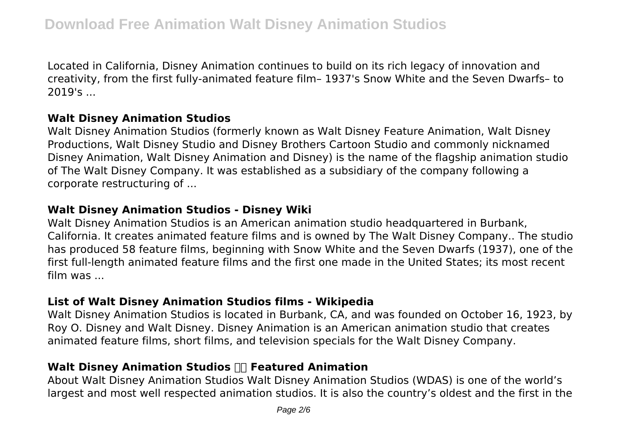Located in California, Disney Animation continues to build on its rich legacy of innovation and creativity, from the first fully-animated feature film– 1937's Snow White and the Seven Dwarfs– to 2019's ...

#### **Walt Disney Animation Studios**

Walt Disney Animation Studios (formerly known as Walt Disney Feature Animation, Walt Disney Productions, Walt Disney Studio and Disney Brothers Cartoon Studio and commonly nicknamed Disney Animation, Walt Disney Animation and Disney) is the name of the flagship animation studio of The Walt Disney Company. It was established as a subsidiary of the company following a corporate restructuring of ...

## **Walt Disney Animation Studios - Disney Wiki**

Walt Disney Animation Studios is an American animation studio headquartered in Burbank, California. It creates animated feature films and is owned by The Walt Disney Company.. The studio has produced 58 feature films, beginning with Snow White and the Seven Dwarfs (1937), one of the first full-length animated feature films and the first one made in the United States; its most recent film was ...

## **List of Walt Disney Animation Studios films - Wikipedia**

Walt Disney Animation Studios is located in Burbank, CA, and was founded on October 16, 1923, by Roy O. Disney and Walt Disney. Disney Animation is an American animation studio that creates animated feature films, short films, and television specials for the Walt Disney Company.

## **Walt Disney Animation Studios Featured Animation**

About Walt Disney Animation Studios Walt Disney Animation Studios (WDAS) is one of the world's largest and most well respected animation studios. It is also the country's oldest and the first in the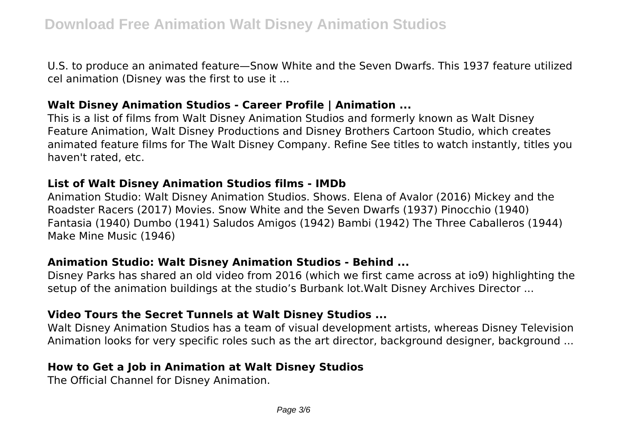U.S. to produce an animated feature—Snow White and the Seven Dwarfs. This 1937 feature utilized cel animation (Disney was the first to use it ...

#### **Walt Disney Animation Studios - Career Profile | Animation ...**

This is a list of films from Walt Disney Animation Studios and formerly known as Walt Disney Feature Animation, Walt Disney Productions and Disney Brothers Cartoon Studio, which creates animated feature films for The Walt Disney Company. Refine See titles to watch instantly, titles you haven't rated, etc.

#### **List of Walt Disney Animation Studios films - IMDb**

Animation Studio: Walt Disney Animation Studios. Shows. Elena of Avalor (2016) Mickey and the Roadster Racers (2017) Movies. Snow White and the Seven Dwarfs (1937) Pinocchio (1940) Fantasia (1940) Dumbo (1941) Saludos Amigos (1942) Bambi (1942) The Three Caballeros (1944) Make Mine Music (1946)

## **Animation Studio: Walt Disney Animation Studios - Behind ...**

Disney Parks has shared an old video from 2016 (which we first came across at io9) highlighting the setup of the animation buildings at the studio's Burbank lot.Walt Disney Archives Director ...

## **Video Tours the Secret Tunnels at Walt Disney Studios ...**

Walt Disney Animation Studios has a team of visual development artists, whereas Disney Television Animation looks for very specific roles such as the art director, background designer, background ...

## **How to Get a Job in Animation at Walt Disney Studios**

The Official Channel for Disney Animation.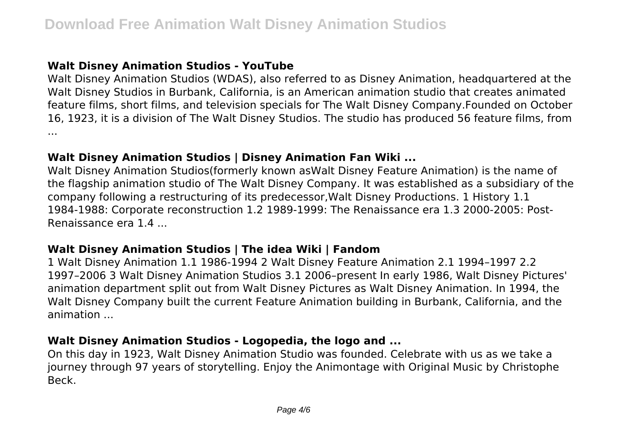## **Walt Disney Animation Studios - YouTube**

Walt Disney Animation Studios (WDAS), also referred to as Disney Animation, headquartered at the Walt Disney Studios in Burbank, California, is an American animation studio that creates animated feature films, short films, and television specials for The Walt Disney Company.Founded on October 16, 1923, it is a division of The Walt Disney Studios. The studio has produced 56 feature films, from ...

## **Walt Disney Animation Studios | Disney Animation Fan Wiki ...**

Walt Disney Animation Studios(formerly known asWalt Disney Feature Animation) is the name of the flagship animation studio of The Walt Disney Company. It was established as a subsidiary of the company following a restructuring of its predecessor,Walt Disney Productions. 1 History 1.1 1984-1988: Corporate reconstruction 1.2 1989-1999: The Renaissance era 1.3 2000-2005: Post-Renaissance era 1.4 ...

## **Walt Disney Animation Studios | The idea Wiki | Fandom**

1 Walt Disney Animation 1.1 1986-1994 2 Walt Disney Feature Animation 2.1 1994–1997 2.2 1997–2006 3 Walt Disney Animation Studios 3.1 2006–present In early 1986, Walt Disney Pictures' animation department split out from Walt Disney Pictures as Walt Disney Animation. In 1994, the Walt Disney Company built the current Feature Animation building in Burbank, California, and the animation ...

## **Walt Disney Animation Studios - Logopedia, the logo and ...**

On this day in 1923, Walt Disney Animation Studio was founded. Celebrate with us as we take a journey through 97 years of storytelling. Enjoy the Animontage with Original Music by Christophe Beck.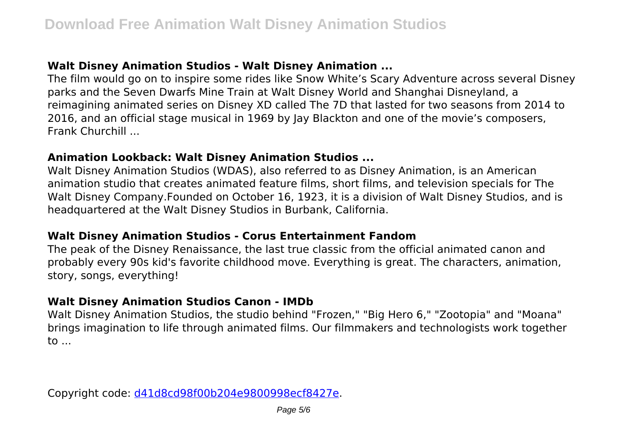## **Walt Disney Animation Studios - Walt Disney Animation ...**

The film would go on to inspire some rides like Snow White's Scary Adventure across several Disney parks and the Seven Dwarfs Mine Train at Walt Disney World and Shanghai Disneyland, a reimagining animated series on Disney XD called The 7D that lasted for two seasons from 2014 to 2016, and an official stage musical in 1969 by Jay Blackton and one of the movie's composers, Frank Churchill ...

## **Animation Lookback: Walt Disney Animation Studios ...**

Walt Disney Animation Studios (WDAS), also referred to as Disney Animation, is an American animation studio that creates animated feature films, short films, and television specials for The Walt Disney Company.Founded on October 16, 1923, it is a division of Walt Disney Studios, and is headquartered at the Walt Disney Studios in Burbank, California.

## **Walt Disney Animation Studios - Corus Entertainment Fandom**

The peak of the Disney Renaissance, the last true classic from the official animated canon and probably every 90s kid's favorite childhood move. Everything is great. The characters, animation, story, songs, everything!

## **Walt Disney Animation Studios Canon - IMDb**

Walt Disney Animation Studios, the studio behind "Frozen," "Big Hero 6," "Zootopia" and "Moana" brings imagination to life through animated films. Our filmmakers and technologists work together to ...

Copyright code: [d41d8cd98f00b204e9800998ecf8427e.](/sitemap.xml)